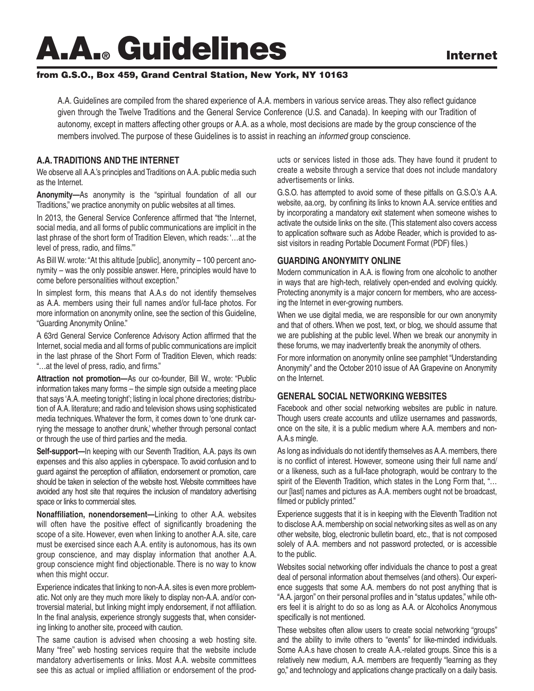# A.A.**®** Guidelines Internet

## from G.S.O., Box 459, Grand Central Station, New York, NY 10163

A.A. Guidelines are compiled from the shared experience of A.A. members in various service areas. They also reflect guidance given through the Twelve Traditions and the General Service Conference (U.S. and Canada). In keeping with our Tradition of autonomy, except in matters affecting other groups or A.A. as a whole, most decisions are made by the group conscience of the members involved. The purpose of these Guidelines is to assist in reaching an *informed* group conscience.

## **A.A. TRADITIONS AND THE INTERNET**

We observe all A.A.'s principles and Traditions on A.A. public media such as the Internet.

**Anonymity—**As anonymity is the "spiritual foundation of all our Traditions," we practice anonymity on public websites at all times.

In 2013, the General Service Conference affirmed that "the Internet, social media, and all forms of public communications are implicit in the last phrase of the short form of Tradition Eleven, which reads: '…at the level of press, radio, and films.'"

As Bill W. wrote: "At this altitude [public], anonymity – 100 percent anonymity – was the only possible answer. Here, principles would have to come before personalities without exception."

In simplest form, this means that A.A.s do not identify themselves as A.A. members using their full names and/or full-face photos. For more information on anonymity online, see the section of this Guideline, "Guarding Anonymity Online."

A 63rd General Service Conference Advisory Action affirmed that the Internet, social media and all forms of public communications are implicit in the last phrase of the Short Form of Tradition Eleven, which reads: "…at the level of press, radio, and firms."

**Attraction not promotion—**As our co-founder, Bill W., wrote: "Public information takes many forms – the simple sign outside a meeting place that says 'A.A. meeting tonight'; listing in local phone directories; distribution of A.A. literature; and radio and television shows using sophisticated media techniques. Whatever the form, it comes down to 'one drunk carrying the message to another drunk,' whether through personal contact or through the use of third parties and the media.

**Self-support—**In keeping with our Seventh Tradition, A.A. pays its own expenses and this also applies in cyberspace. To avoid confusion and to guard against the perception of affiliation, endorsement or promotion, care should be taken in selection of the website host. Website committees have avoided any host site that requires the inclusion of mandatory advertising space or links to commercial sites.

**Nonaffiliation, nonendorsement—**Linking to other A.A. websites will often have the positive effect of significantly broadening the scope of a site. However, even when linking to another A.A. site, care must be exercised since each A.A. entity is autonomous, has its own group conscience, and may display information that another A.A. group conscience might find objectionable. There is no way to know when this might occur.

Experience indicates that linking to non-A.A. sites is even more problematic. Not only are they much more likely to display non-A.A. and/or controversial material, but linking might imply endorsement, if not affiliation. In the final analysis, experience strongly suggests that, when considering linking to another site, proceed with caution.

The same caution is advised when choosing a web hosting site. Many "free" web hosting services require that the website include mandatory advertisements or links. Most A.A. website committees see this as actual or implied affiliation or endorsement of the prod-

ucts or services listed in those ads. They have found it prudent to create a website through a service that does not include mandatory advertisements or links.

G.S.O. has attempted to avoid some of these pitfalls on G.S.O.'s A.A. website, aa.org, by confining its links to known A.A. service entities and by incorporating a mandatory exit statement when someone wishes to activate the outside links on the site. (This statement also covers access to application software such as Adobe Reader, which is provided to assist visitors in reading Portable Document Format (PDF) files.)

#### **GUARDING ANONYMITY ONLINE**

Modern communication in A.A. is flowing from one alcoholic to another in ways that are high-tech, relatively open-ended and evolving quickly. Protecting anonymity is a major concern for members, who are accessing the Internet in ever-growing numbers.

When we use digital media, we are responsible for our own anonymity and that of others. When we post, text, or blog, we should assume that we are publishing at the public level. When we break our anonymity in these forums, we may inadvertently break the anonymity of others.

For more information on anonymity online see pamphlet "Understanding Anonymity" and the October 2010 issue of AA Grapevine on Anonymity on the Internet.

# **GENERAL SOCIAL NETWORKING WEBSITES**

Facebook and other social networking websites are public in nature. Though users create accounts and utilize usernames and passwords, once on the site, it is a public medium where A.A. members and non-A.A.s mingle.

As long as individuals do not identify themselves as A.A. members, there is no conflict of interest. However, someone using their full name and/ or a likeness, such as a full-face photograph, would be contrary to the spirit of the Eleventh Tradition, which states in the Long Form that, "... our [last] names and pictures as A.A. members ought not be broadcast, filmed or publicly printed."

Experience suggests that it is in keeping with the Eleventh Tradition not to disclose A.A. membership on social networking sites as well as on any other website, blog, electronic bulletin board, etc., that is not composed solely of A.A. members and not password protected, or is accessible to the public.

Websites social networking offer individuals the chance to post a great deal of personal information about themselves (and others). Our experience suggests that some A.A. members do not post anything that is "A.A. jargon" on their personal profiles and in "status updates," while others feel it is alright to do so as long as A.A. or Alcoholics Anonymous specifically is not mentioned.

These websites often allow users to create social networking "groups" and the ability to invite others to "events" for like-minded individuals. Some A.A.s have chosen to create A.A.-related groups. Since this is a relatively new medium, A.A. members are frequently "learning as they go," and technology and applications change practically on a daily basis.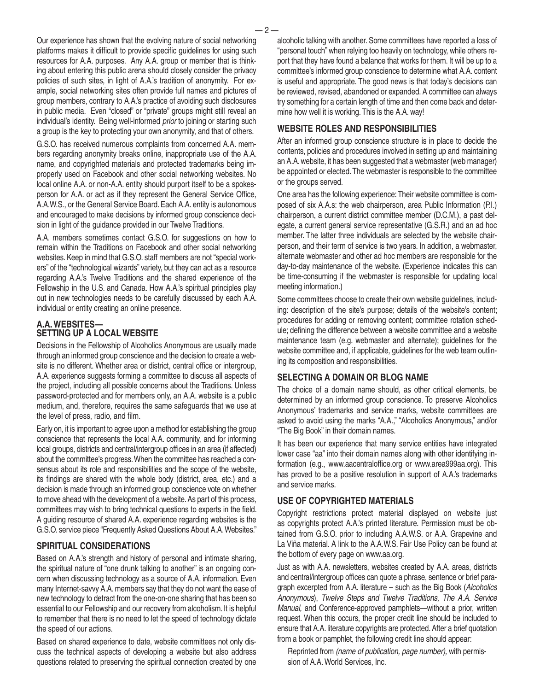Our experience has shown that the evolving nature of social networking platforms makes it difficult to provide specific guidelines for using such resources for A.A. purposes. Any A.A. group or member that is thinking about entering this public arena should closely consider the privacy policies of such sites, in light of A.A.'s tradition of anonymity. For example, social networking sites often provide full names and pictures of group members, contrary to A.A.'s practice of avoiding such disclosures in public media. Even "closed" or "private" groups might still reveal an individual's identity. Being well-informed *prior* to joining or starting such a group is the key to protecting your own anonymity, and that of others.

G.S.O. has received numerous complaints from concerned A.A. members regarding anonymity breaks online, inappropriate use of the A.A. name, and copyrighted materials and protected trademarks being improperly used on Facebook and other social networking websites. No local online A.A. or non-A.A. entity should purport itself to be a spokesperson for A.A. or act as if they represent the General Service Office, A.A.W.S., or the General Service Board. Each A.A. entity is autonomous and encouraged to make decisions by informed group conscience decision in light of the guidance provided in our Twelve Traditions.

A.A. members sometimes contact G.S.O. for suggestions on how to remain within the Traditions on Facebook and other social networking websites. Keep in mind that G.S.O. staff members are not "special workers" of the "technological wizards" variety, but they can act as a resource regarding A.A.'s Twelve Traditions and the shared experience of the Fellowship in the U.S. and Canada. How A.A.'s spiritual principles play out in new technologies needs to be carefully discussed by each A.A. individual or entity creating an online presence.

# **A.A. WEBSITES— SETTING UP A LOCAL WEBSITE**

Decisions in the Fellowship of Alcoholics Anonymous are usually made through an informed group conscience and the decision to create a website is no different. Whether area or district, central office or intergroup, A.A. experience suggests forming a committee to discuss all aspects of the project, including all possible concerns about the Traditions. Unless password-protected and for members only, an A.A. website is a public medium, and, therefore, requires the same safeguards that we use at the level of press, radio, and film.

Early on, it is important to agree upon a method for establishing the group conscience that represents the local A.A. community, and for informing local groups, districts and central/intergroup offices in an area (if affected) about the committee's progress. When the committee has reached a consensus about its role and responsibilities and the scope of the website, its findings are shared with the whole body (district, area, etc.) and a decision is made through an informed group conscience vote on whether to move ahead with the development of a website. As part of this process, committees may wish to bring technical questions to experts in the field. A guiding resource of shared A.A. experience regarding websites is the G.S.O. service piece "Frequently Asked Questions About A.A. Websites."

# **SPIRITUAL CONSIDERATIONS**

Based on A.A.'s strength and history of personal and intimate sharing, the spiritual nature of "one drunk talking to another" is an ongoing concern when discussing technology as a source of A.A. information. Even many Internet-savvy A.A. members say that they do not want the ease of new technology to detract from the one-on-one sharing that has been so essential to our Fellowship and our recovery from alcoholism. It is helpful to remember that there is no need to let the speed of technology dictate the speed of our actions.

Based on shared experience to date, website committees not only discuss the technical aspects of developing a website but also address questions related to preserving the spiritual connection created by one

alcoholic talking with another. Some committees have reported a loss of "personal touch" when relying too heavily on technology, while others report that they have found a balance that works for them. It will be up to a committee's informed group conscience to determine what A.A. content is useful and appropriate. The good news is that today's decisions can be reviewed, revised, abandoned or expanded. A committee can always try something for a certain length of time and then come back and determine how well it is working. This is the A.A. way!

## **WEBSITE ROLES AND RESPONSIBILITIES**

After an informed group conscience structure is in place to decide the contents, policies and procedures involved in setting up and maintaining an A.A. website, it has been suggested that a webmaster (web manager) be appointed or elected. The webmaster is responsible to the committee or the groups served.

One area has the following experience: Their website committee is composed of six A.A.s: the web chairperson, area Public Information (P.I.) chairperson, a current district committee member (D.C.M.), a past delegate, a current general service representative (G.S.R.) and an ad hoc member. The latter three individuals are selected by the website chairperson, and their term of service is two years. In addition, a webmaster, alternate webmaster and other ad hoc members are responsible for the day-to-day maintenance of the website. (Experience indicates this can be time-consuming if the webmaster is responsible for updating local meeting information.)

Some committees choose to create their own website guidelines, including: description of the site's purpose; details of the website's content; procedures for adding or removing content; committee rotation schedule; defining the difference between a website committee and a website maintenance team (e.g. webmaster and alternate); guidelines for the website committee and, if applicable, guidelines for the web team outlining its composition and responsibilities.

#### **SELECTING A DOMAIN OR BLOG NAME**

The choice of a domain name should, as other critical elements, be determined by an informed group conscience. To preserve Alcoholics Anonymous' trademarks and service marks, website committees are asked to avoid using the marks "A.A.," "Alcoholics Anonymous," and/or "The Big Book" in their domain names.

It has been our experience that many service entities have integrated lower case "aa" into their domain names along with other identifying information (e.g., www.aacentraloffice.org or www.area999aa.org). This has proved to be a positive resolution in support of A.A.'s trademarks and service marks.

## **USE OF COPYRIGHTED MATERIALS**

Copyright restrictions protect material displayed on website just as copyrights protect A.A.'s printed literature. Permission must be obtained from G.S.O. prior to including A.A.W.S. or A.A. Grapevine and La Viña material. A link to the A.A.W.S. Fair Use Policy can be found at the bottom of every page on www.aa.org.

Just as with A.A. newsletters, websites created by A.A. areas, districts and central/intergroup offices can quote a phrase, sentence or brief paragraph excerpted from A.A. literature – such as the Big Book (*Alcoholics Anonymous*), *Twelve Steps and Twelve Traditions, The A.A. Service Manual,* and Conference-approved pamphlets—without a prior, written request. When this occurs, the proper credit line should be included to ensure that A.A. literature copyrights are protected. After a brief quotation from a book or pamphlet, the following credit line should appear:

Reprinted from *(name of publication, page number),* with permission of A.A. World Services, Inc.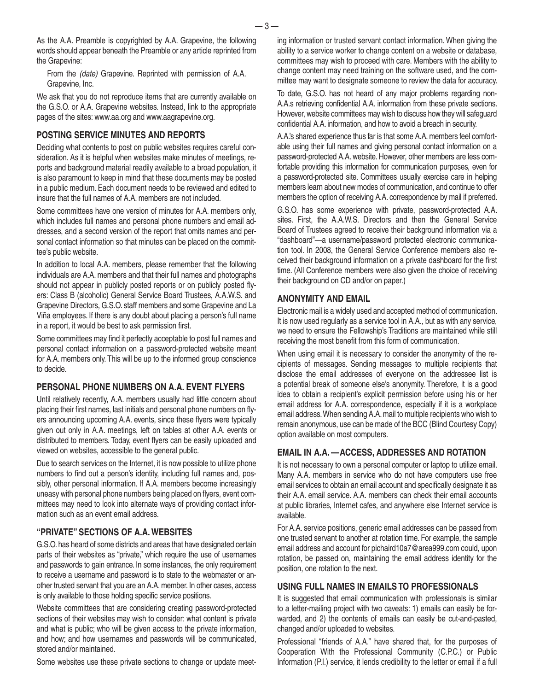As the A.A. Preamble is copyrighted by A.A. Grapevine, the following words should appear beneath the Preamble or any article reprinted from the Grapevine:

From the *(date)* Grapevine. Reprinted with permission of A.A. Grapevine, Inc.

We ask that you do not reproduce items that are currently available on the G.S.O. or A.A. Grapevine websites. Instead, link to the appropriate pages of the sites: www.aa.org and www.aagrapevine.org.

#### **POSTING SERVICE MINUTES AND REPORTS**

Deciding what contents to post on public websites requires careful consideration. As it is helpful when websites make minutes of meetings, reports and background material readily available to a broad population, it is also paramount to keep in mind that these documents may be posted in a public medium. Each document needs to be reviewed and edited to insure that the full names of A.A. members are not included.

Some committees have one version of minutes for A.A. members only, which includes full names and personal phone numbers and email addresses, and a second version of the report that omits names and personal contact information so that minutes can be placed on the committee's public website.

In addition to local A.A. members, please remember that the following individuals are A.A. members and that their full names and photographs should not appear in publicly posted reports or on publicly posted flyers: Class B (alcoholic) General Service Board Trustees, A.A.W.S. and Grapevine Directors, G.S.O. staff members and some Grapevine and La Viña employees. If there is any doubt about placing a person's full name in a report, it would be best to ask permission first.

Some committees may find it perfectly acceptable to post full names and personal contact information on a password-protected website meant for A.A. members only. This will be up to the informed group conscience to decide.

#### **PERSONAL PHONE NUMBERS ON A.A. EVENT FLYERS**

Until relatively recently, A.A. members usually had little concern about placing their first names, last initials and personal phone numbers on flyers announcing upcoming A.A. events, since these flyers were typically given out only in A.A. meetings, left on tables at other A.A. events or distributed to members. Today, event flyers can be easily uploaded and viewed on websites, accessible to the general public.

Due to search services on the Internet, it is now possible to utilize phone numbers to find out a person's identity, including full names and, possibly, other personal information. If A.A. members become increasingly uneasy with personal phone numbers being placed on flyers, event committees may need to look into alternate ways of providing contact information such as an event email address.

#### **"PRIVATE" SECTIONS OF A.A. WEBSITES**

G.S.O. has heard of some districts and areas that have designated certain parts of their websites as "private," which require the use of usernames and passwords to gain entrance. In some instances, the only requirement to receive a username and password is to state to the webmaster or another trusted servant that you are an A.A. member. In other cases, access is only available to those holding specific service positions.

Website committees that are considering creating password-protected sections of their websites may wish to consider: what content is private and what is public; who will be given access to the private information, and how; and how usernames and passwords will be communicated, stored and/or maintained.

Some websites use these private sections to change or update meet-

ing information or trusted servant contact information. When giving the ability to a service worker to change content on a website or database, committees may wish to proceed with care. Members with the ability to change content may need training on the software used, and the committee may want to designate someone to review the data for accuracy.

To date, G.S.O. has not heard of any major problems regarding non-A.A.s retrieving confidential A.A. information from these private sections. However, website committees may wish to discuss how they will safeguard confidential A.A. information, and how to avoid a breach in security.

A.A.'s shared experience thus far is that some A.A. members feel comfortable using their full names and giving personal contact information on a password-protected A.A. website. However, other members are less comfortable providing this information for communication purposes, even for a password-protected site. Committees usually exercise care in helping members learn about new modes of communication, and continue to offer members the option of receiving A.A. correspondence by mail if preferred.

G.S.O. has some experience with private, password-protected A.A. sites. First, the A.A.W.S. Directors and then the General Service Board of Trustees agreed to receive their background information via a "dashboard"—a username/password protected electronic communication tool. In 2008, the General Service Conference members also received their background information on a private dashboard for the first time. (All Conference members were also given the choice of receiving their background on CD and/or on paper.)

#### **ANONYMITY AND EMAIL**

Electronic mail is a widely used and accepted method of communication. It is now used regularly as a service tool in A.A., but as with any service, we need to ensure the Fellowship's Traditions are maintained while still receiving the most benefit from this form of communication.

When using email it is necessary to consider the anonymity of the recipients of messages. Sending messages to multiple recipients that disclose the email addresses of everyone on the addressee list is a potential break of someone else's anonymity. Therefore, it is a good idea to obtain a recipient's explicit permission before using his or her email address for A.A. correspondence, especially if it is a workplace email address. When sending A.A. mail to multiple recipients who wish to remain anonymous, use can be made of the BCC (Blind Courtesy Copy) option available on most computers.

#### **EMAIL IN A.A. —ACCESS, ADDRESSES AND ROTATION**

It is not necessary to own a personal computer or laptop to utilize email. Many A.A. members in service who do not have computers use free email services to obtain an email account and specifically designate it as their A.A. email service. A.A. members can check their email accounts at public libraries, Internet cafes, and anywhere else Internet service is available.

For A.A. service positions, generic email addresses can be passed from one trusted servant to another at rotation time. For example, the sample email address and account for pichaird10a7@area999.com could, upon rotation, be passed on, maintaining the email address identity for the position, one rotation to the next.

#### **USING FULL NAMES IN EMAILS TO PROFESSIONALS**

It is suggested that email communication with professionals is similar to a letter-mailing project with two caveats: 1) emails can easily be forwarded, and 2) the contents of emails can easily be cut-and-pasted, changed and/or uploaded to websites.

Professional "friends of A.A." have shared that, for the purposes of Cooperation With the Professional Community (C.P.C.) or Public Information (P.I.) service, it lends credibility to the letter or email if a full